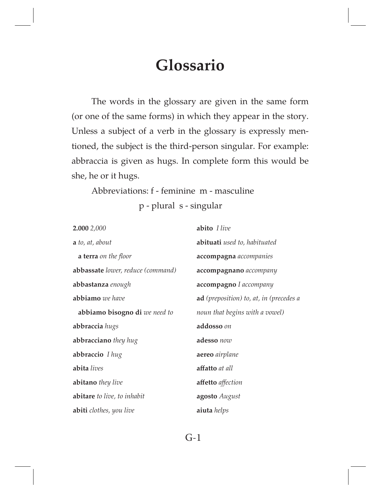# **Glossario**

The words in the glossary are given in the same form (or one of the same forms) in which they appear in the story. Unless a subject of a verb in the glossary is expressly mentioned, the subject is the third-person singular. For example: abbraccia is given as hugs. In complete form this would be she, he or it hugs.

Abbreviations: f - feminine m - masculine p - plural s - singular

**2.000** *2,000* **a** *to, at, about*  **a terra** *on the foor*  **abbassate** *lower, reduce (command)* **abbastanza** *enough* **abbiamo** *we have*  **abbiamo bisogno di** *we need to* **abbraccia** *hugs*  **abbracciano** *they hug*  **abbraccio** *I hug* **abita** *lives* **abitano** *they live*  **abitare** *to live, to inhabit*  **abiti** *clothes, you live*  **abito** *I live* **abituati** *used to, habituated*  **accompagna** *accompanies* **accompagnano** *accompany* **accompagno** *I accompany* **ad** *(preposition) to, at, in (precedes a noun that begins with a vowel)* **addosso** *on* **adesso** *now* **aereo** *airplane* **afatto** *at all*  **afetto** *afection*  **agosto** *August*  **aiuta** *helps*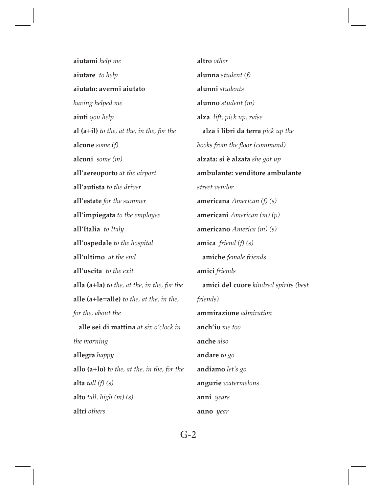**aiutami** *help me* **aiutare** *to help* **aiutato: avermi aiutato** *having helped me* **aiuti** *you help* **al (a+il)** *to the, at the, in the, for the* **alcune** *some (f)* **alcuni** *some (m)* **all'aereoporto** *at the airport* **all'autista** *to the driver*  **all'estate** *for the summer* **all'impiegata** *to the employee* **all'Italia** *to Italy*  **all'ospedale** *to the hospital* **all'ultimo** *at the end*  **all'uscita** *to the exit* **alla (a+la)** *to the, at the, in the, for the* **alle (a+le=alle)** *to the, at the, in the, for the, about the*  **alle sei di mattina** *at six o'clock in the morning* **allegra** *happy* **allo (a+lo) t***o the, at the, in the, for the* **alta** *tall (f) (s)* **alto** *tall, high (m) (s)* **altri** *others*

**altro** *other* **alunna** *student (f)* **alunni** *students* **alunno** *student (m)* **alza** *lift, pick up, raise*  **alza i libri da terra** *pick up the books from the floor (command)* **alzata: si è alzata** *she got up* **ambulante: venditore ambulante**  *street vendor* **americana** *American (f) (s)* **americani** *American (m) (p)* **americano** *America (m) (s)*  **amica** *friend (f) (s)*  **amiche** *female friends* **amici** *friends*  **amici del cuore** *kindred spirits (best friends)* **ammirazione** *admiration* **anch'io** *me too* **anche** *also* **andare** *to go*  **andiamo** *let's go* **angurie** *watermelons* **anni** *years* **anno** *year*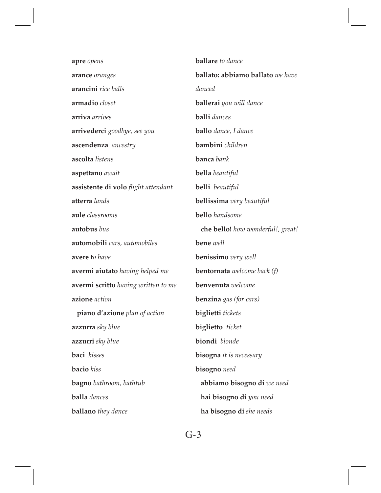| apre opens                          | <b>ballare</b> to dance              |
|-------------------------------------|--------------------------------------|
| arance oranges                      | ballato: abbiamo ballato we have     |
| arancini rice balls                 | danced                               |
| armadio closet                      | <b>ballerai</b> you will dance       |
| arriva arrives                      | <b>balli</b> dances                  |
| <b>arrivederci</b> goodbye, see you | <b>ballo</b> dance, I dance          |
| ascendenza ancestry                 | bambini children                     |
| ascolta listens                     | banca bank                           |
| aspettano await                     | <b>bella</b> beautiful               |
| assistente di volo flight attendant | belli beautiful                      |
| atterra lands                       | <b>bellissima</b> very beautiful     |
| aule classrooms                     | <b>bello</b> handsome                |
| autobus bus                         | che bello! how wonderful!, great!    |
| automobili cars, automobiles        | bene well                            |
| avere to have                       | <b>benissimo</b> very well           |
| avermi aiutato having helped me     | <b>bentornata</b> welcome back $(f)$ |
| avermi scritto having written to me | benvenuta welcome                    |
| azione action                       | <b>benzina</b> gas (for cars)        |
| piano d'azione plan of action       | biglietti tickets                    |
| <b>azzurra</b> sky blue             | biglietto ticket                     |
| <b>azzurri</b> sky blue             | biondi blonde                        |
| baci kisses                         | bisogna it is necessary              |
| <b>bacio</b> kiss                   | bisogno need                         |
| <b>bagno</b> bathroom, bathtub      | abbiamo bisogno di we need           |
| balla dances                        | hai bisogno di you need              |
| <b>ballano</b> they dance           | ha bisogno di she needs              |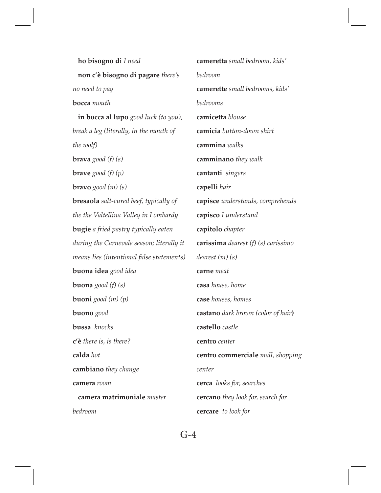**ho bisogno di** *I need*  **non c'è bisogno di pagare** *there's no need to pay* **bocca** *mouth*  **in bocca al lupo** *good luck (to you), break a leg (literally, in the mouth of the wolf)* **brava** *good (f) (s)* **brave** *good (f) (p)* **bravo** *good (m) (s)* **bresaola** *salt-cured beef, typically of the the Valtellina Valley in Lombardy* **bugie** *a fried pastry typically eaten during the Carnevale season; literally it means lies (intentional false statements)* **buona idea** *good idea* **buona** *good (f) (s)* **buoni** *good (m) (p)* **buono** *good*  **bussa** *knocks* **c'è** *there is, is there?* **calda** *hot* **cambiano** *they change* **camera** *room*  **camera matrimoniale** *master bedroom*  **cameretta** *small bedroom, kids' bedroom* **camerette** *small bedrooms, kids' bedrooms* **camicetta** *blouse* **camicia** *button-down shirt* **cammina** *walks* **camminano** *they walk*  **cantanti** *singers* **capelli** *hair* **capisce** *understands, comprehends* **capisco** *I understand*  **capitolo** *chapter*  **carissima** *dearest (f) (s) carissimo dearest (m) (s)* **carne** *meat* **casa** *house, home* **case** *houses, homes* **castano** *dark brown (color of hair***) castello** *castle* **centro** *center* **centro commerciale** *mall, shopping center* **cerca** *looks for, searches*  **cercano** *they look for, search for* **cercare** *to look for*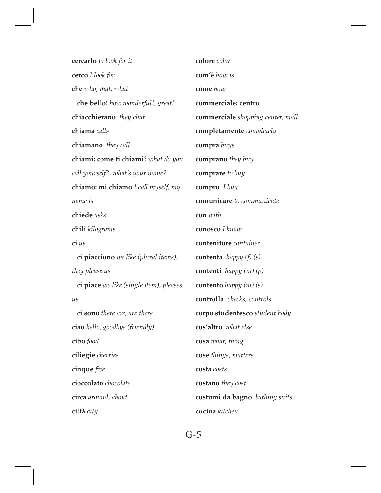**cercarlo** *to look for it* **cerco** *I look for* **che** *who, that, what*  **che bello!** *how wonderful!, great!* **chiacchierano** *they chat* **chiama** *calls* **chiamano** *they call* **chiami: come ti chiami?** *what do you call yourself?, what's your name?* **chiamo: mi chiamo** *I call myself, my name is* **chiede** *asks* **chili** *kilograms* **ci** *us*  **ci piacciono** *we like (plural items), they please us*  **ci piace** *we like (single item), pleases us*  **ci sono** *there are, are there* **ciao** *hello, goodbye (friendly)* **cibo** *food* **ciliegie** *cherries*  **cinque** *fve* **cioccolato** *chocolate* **circa** *around, about* **città** *city* **colore** *color*  **com'è** *how is* **come** *how* **commerciale: centro commerciale** *shopping center, mall* **completamente** *completely* **compra** *buys* **comprano** *they buy* **comprare** *to buy* **compro** *I buy* **comunicare** *to communicate* **con** *with* **conosco** *I know* **contenitore** *container* **contenta** *happy (f) (s)* **contenti** *happy (m) (p)*  **contento** *happy (m) (s)*  **controlla** *checks, controls* **corpo studentesco** *student body* **cos'altro** *what else* **cosa** *what, thing* **cose** *things, matters*  **costa** *costs* **costano** *they cost* **costumi da bagno** *bathing suits* **cucina** *kitchen*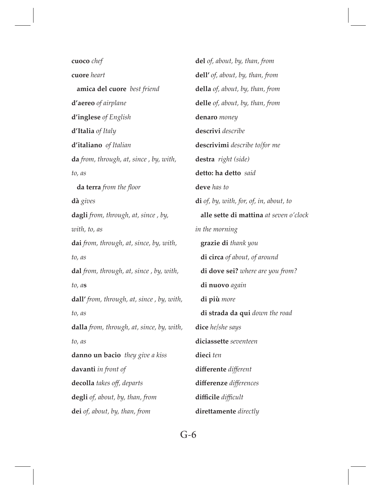**cuoco** *chef* **cuore** *heart*  **amica del cuore** *best friend* **d'aereo** *of airplane* **d'inglese** *of English* **d'Italia** *of Italy* **d'italiano** *of Italian* **da** *from, through, at, since , by, with, to, as*  **da terra** *from the foor* **dà** *gives* **dagli** *from, through, at, since , by, with, to, as* **dai** *from, through, at, since, by, with, to, as* **dal** *from, through, at, since , by, with, to, a***s dall'** *from, through, at, since , by, with, to, as* **dalla** *from, through, at, since, by, with, to, as* **danno un bacio** *they give a kiss* **davanti** *in front of* **decolla** *takes of, departs* **degli** *of, about, by, than, from* **dei** *of, about, by, than, from* **del** *of, about, by, than, from* **dell'** *of, about, by, than, from* **della** *of, about, by, than, from* **delle** *of, about, by, than, from* **denaro** *money* **descrivi** *describe* **descrivimi** *describe to/for me* **destra** *right (side)* **detto: ha detto** *said* **deve** *has to* **di** *of, by, with, for, of, in, about, to*  **alle sette di mattina** *at seven o'clock in the morning*  **grazie di** *thank you*  **di circa** *of about, of around*  **di dove sei?** *where are you from?*  **di nuovo** *again*  **di più** *more*  **di strada da qui** *down the road* **dice** *he/she says* **diciassette** *seventeen* **dieci** *ten* **diferente** *diferent*  **diferenze** *diferences* **difcile** *difcult* **direttamente** *directly*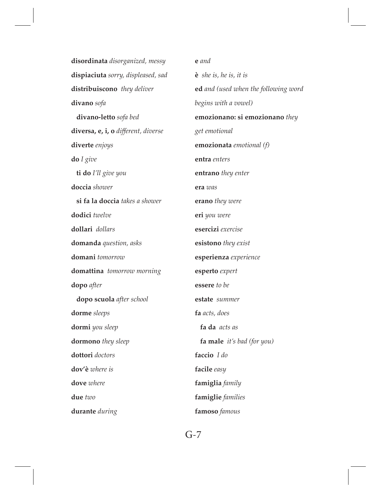**disordinata** *disorganized, messy* **dispiaciuta** *sorry, displeased, sad* **distribuiscono** *they deliver* **divano** *sofa*  **divano-letto** *sofa bed*  **diversa, e, i, o** *diferent, diverse* **diverte** *enjoys* **do** *I give*  **ti do** *I'll give you* **doccia** *shower*  **si fa la doccia** *takes a shower* **dodici** *twelve* **dollari** *dollars* **domanda** *question, asks* **domani** *tomorrow* **domattina** *tomorrow morning* **dopo** *after*  **dopo scuola** *after school* **dorme** *sleeps*  **dormi** *you sleep* **dormono** *they sleep* **dottori** *doctors* **dov'è** *where is* **dove** *where*  **due** *two*  **durante** *during* **e** *and* **è** *she is, he is, it is*  **ed** *and (used when the following word begins with a vowel)* **emozionano: si emozionano** *they get emotional* **emozionata** *emotional (f)* **entra** *enters*  **entrano** *they enter* **era** *was* **erano** *they were* **eri** *you were* **esercizi** *exercise* **esistono** *they exist* **esperienza** *experience* **esperto** *expert* **essere** *to be* **estate** *summer* **fa** *acts, does*  **fa da** *acts as*  **fa male** *it's bad (for you)* **faccio** *I do*  **facile** *easy* **famiglia** *family* **famiglie** *families* **famoso** *famous*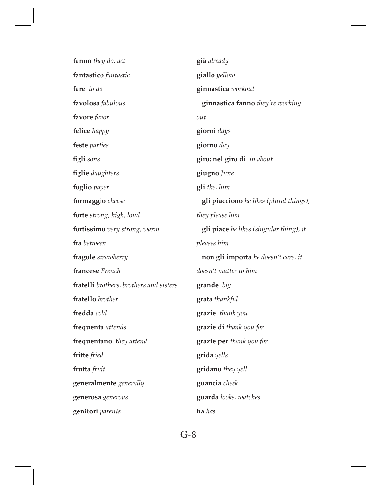| fanno they do, act                      | già already                                    |
|-----------------------------------------|------------------------------------------------|
| fantastico fantastic                    | giallo yellow                                  |
| fare to do                              | ginnastica workout                             |
| favolosa fabulous                       | ginnastica fanno they're working               |
| favore favor                            | out                                            |
| felice happy                            | giorni days                                    |
| feste parties                           | giorno day                                     |
| figli sons                              | giro: nel giro di in about                     |
| figlie daughters                        | giugno June                                    |
| foglio paper                            | gli the, him                                   |
| formaggio cheese                        | <b>gli piacciono</b> he likes (plural things), |
| forte strong, high, loud                | they please him                                |
| fortissimo very strong, warm            | gli piace he likes (singular thing), it        |
| fra between                             | pleases him                                    |
| fragole strawberry                      | non gli importa he doesn't care, it            |
| francese French                         | doesn't matter to him                          |
| fratelli brothers, brothers and sisters | grande big                                     |
| fratello brother                        | grata thankful                                 |
| fredda cold                             | grazie thank you                               |
| frequenta attends                       | grazie di thank you for                        |
| frequentano they attend                 | grazie per thank you for                       |
| fritte fried                            | grida yells                                    |
| frutta fruit                            | gridano they yell                              |
| generalmente generally                  | guancia cheek                                  |
| generosa generous                       | guarda looks, watches                          |
| genitori parents                        | ha has                                         |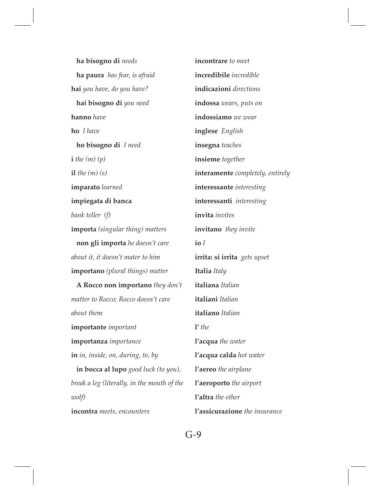**ha bisogno di** *needs*  **ha paura** *has fear, is afraid* **hai** *you have, do you have?*  **hai bisogno di** *you need* **hanno** *have* **ho** *I have*  **ho bisogno di** *I need*  $\mathbf{i}$  *the*  $(m)(p)$ **il** *the (m) (s)* **imparato** *learned* **impiegata di banca**  *bank teller**(f)* **importa** *(singular thing) matters*  **non gli importa** *he doesn't care about it, it doesn't mater to him* **importano** *(plural things) matter*  **A Rocco non importano** *they don't matter to Rocco; Rocco doesn't care about them* **importante** *important* **importanza** *importance* **in** *in, inside, on, during, to, by* **in bocca al lupo** *good luck (to you), break a leg (literally, in the mouth of the wolf)* **incontra** *meets, encounters* **incontrare** *to meet* **incredibile** *incredible* **indicazioni** *directions*  **indossa** *wears, puts on* **indossiamo** *we wear* **inglese** *English* **insegna** *teaches* **insieme** *together* **interamente** *completely, entirely*  **interessante** *interesting* **interessanti** *interesting* **invita** *invites* **invitano** *they invite* **io** *I* **irrita: si irrita** *gets upset* **Italia** *Italy* **italiana** *Italian* **italiani** *Italian* **italiano** *Italian* **l'** *the* **l'acqua** *the water*  **l'acqua calda** *hot water* **l'aereo** *the airplane* **l'aeroporto** *the airport* **l'altra** *the other* **l'assicurazione** *the insurance*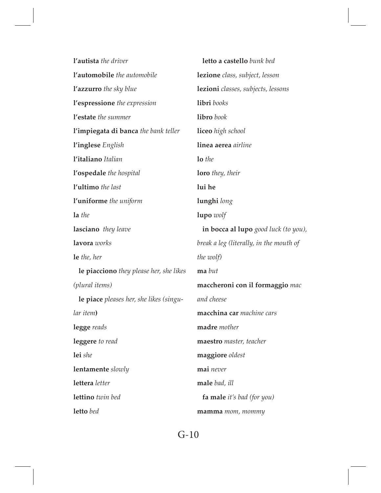| l'autista the driver                    | letto a castello bunk bed               |
|-----------------------------------------|-----------------------------------------|
| l'automobile the automobile             | lezione class, subject, lesson          |
| <b>l'azzurro</b> the sky blue           | lezioni classes, subjects, lessons      |
| l'espressione the expression            | libri books                             |
| l'estate the summer                     | libro book                              |
| l'impiegata di banca the bank teller    | liceo high school                       |
| l'inglese English                       | linea aerea airline                     |
| l'italiano Italian                      | lo the                                  |
| l'ospedale the hospital                 | <b>loro</b> they, their                 |
| l'ultimo the last                       | lui he                                  |
| l'uniforme the uniform                  | lunghi long                             |
| la the                                  | lupo wolf                               |
| lasciano they leave                     | in bocca al lupo good luck (to you),    |
| lavora works                            | break a leg (literally, in the mouth of |
| le the, her                             | the wolf)                               |
| le piacciono they please her, she likes | ma but                                  |
| (plural items)                          | maccheroni con il formaggio mac         |
| le piace pleases her, she likes (singu- | and cheese                              |
| lar item)                               | macchina car machine cars               |
| legge reads                             | madre mother                            |
| leggere to read                         | maestro master, teacher                 |
| lei she                                 | maggiore oldest                         |
| lentamente slowly                       | mai never                               |
| lettera letter                          | male bad, ill                           |
| lettino twin bed                        | fa male it's bad (for you)              |
| letto bed                               | mamma <i>mom</i> , <i>mommy</i>         |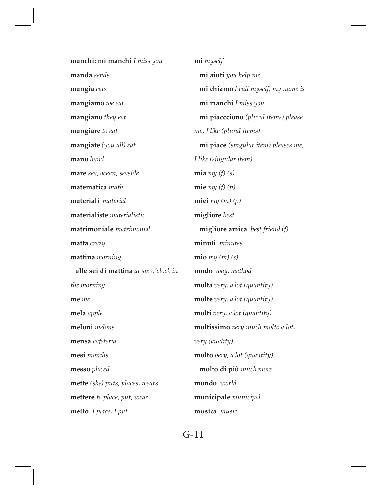**manchi: mi manchi** *I miss you* **manda** *sends* **mangia** *eats* **mangiamo** *we eat* **mangiano** *they eat* **mangiare** *to eat*  **mangiate** *(you all) eat* **mano** *hand* **mare** *sea, ocean, seaside* **matematica** *math* **materiali** *material* **materialiste** *materialistic*  **matrimoniale** *matrimonial*  **matta** *crazy* **mattina** *morning*  **alle sei di mattina** *at six o'clock in the morning* **me** *me* **mela** *apple*  **meloni** *melons* **mensa** *cafeteria*  **mesi** *months* **messo** *placed* **mette** *(she) puts, places, wears*  **mettere** *to place, put, wear*  **metto** *I place, I put*

**mi** *myself*  **mi aiuti** *you help me*  **mi chiamo** *I call myself, my name is*  **mi manchi** *I miss you*  **mi piaccciono** *(plural items) please me, I like (plural items)* **mi piace** *(singular item) pleases me, I like (singular item)* **mia** *my (f) (s)* **mie** *my (f) (p)* **miei** *my (m) (p)* **migliore** *best*  **migliore amica** *best friend (f)* **minuti** *minutes* **mio** *my (m) (s)* **modo** *way, method* **molta** *very, a lot (quantity)* **molte** *very, a lot (quantity)*  **molti** *very, a lot (quantity)* **moltissimo** *very much molto a lot, very (quality)* **molto** *very, a lot (quantity)*  **molto di più** *much more* **mondo** *world*  **municipale** *municipal* **musica** *music*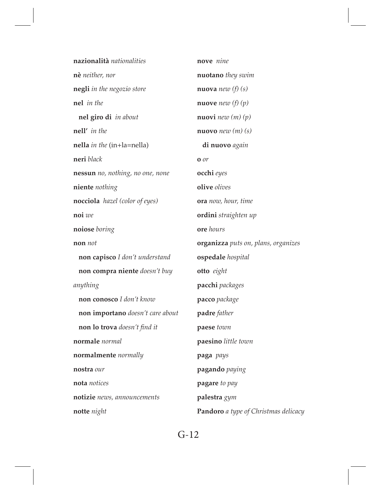| nazionalità nationalities             | nove nine                           |
|---------------------------------------|-------------------------------------|
| nè neither, nor                       | <b>nuotano</b> they swim            |
| negli in the negozio store            | <b>nuova</b> new $(f)(s)$           |
| nel in the                            | <b>nuove</b> new $(f)(p)$           |
| nel giro di in about                  | <b>nuovi</b> new $(m)(p)$           |
| nell' in the                          | <b>nuovo</b> new $(m)(s)$           |
| nella <i>in the</i> (in+la=nella)     | di nuovo again                      |
| neri black                            | $\mathbf{0}$ or                     |
| nessun no, nothing, no one, none      | occhi eyes                          |
| niente nothing                        | olive olives                        |
| <b>nocciola</b> hazel (color of eyes) | ora now, hour, time                 |
| noi we                                | ordini straighten up                |
| noiose boring                         | ore hours                           |
|                                       |                                     |
| non not                               | organizza puts on, plans, organizes |
| non capisco I don't understand        | ospedale hospital                   |
| non compra niente doesn't buy         | otto eight                          |
| anything                              | pacchi packages                     |
| non conosco I don't know              | pacco package                       |
| non importano doesn't care about      | padre father                        |
| non lo trova doesn't find it          | paese town                          |
| normale normal                        | paesino little town                 |
| normalmente normally                  | paga pays                           |
| nostra our                            | pagando paying                      |
| nota notices                          | pagare to pay                       |
| notizie news, announcements           | palestra gym                        |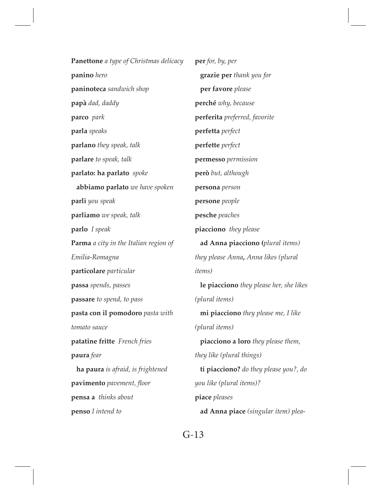**Panettone** *a type of Christmas delicacy* **panino** *hero* **paninoteca** *sandwich shop* **papà** *dad, daddy* **parco** *park* **parla** *speaks* **parlano** *they speak, talk* **parlare** *to speak, talk*  **parlato: ha parlato** *spoke*  **abbiamo parlato** *we have spoken* **parli** *you speak* **parliamo** *we speak, talk* **parlo** *I speak* **Parma** *a city in the Italian region of Emilia-Romagna*  **particolare** *particular*  **passa** *spends, passes* **passare** *to spend, to pass* **pasta con il pomodoro** *pasta with tomato sauce* **patatine fritte** *French fries* **paura** *fear*  **ha paura** *is afraid, is frightened* **pavimento** *pavement, foor* **pensa a** *thinks about* **penso** *I intend to* **per** *for, by, per*  **grazie per** *thank you for*  **per favore** *please* **perché** *why, because*  **perferita** *preferred, favorite* **perfetta** *perfect* **perfette** *perfect* **permesso** *permission* **però** *but, although* **persona** *person* **persone** *people* **pesche** *peaches* **piacciono** *they please*  **ad Anna piacciono (***plural items) they please Anna***,** *Anna likes (plural items)*  **le piacciono** *they please her, she likes (plural items)*  **mi piacciono** *they please me, I like (plural items)*  **piacciono a loro** *they please them, they like (plural things)*  **ti piacciono?** *do they please you?, do you like (plural items)?* **piace** *pleases*  **ad Anna piace** *(singular item) plea-*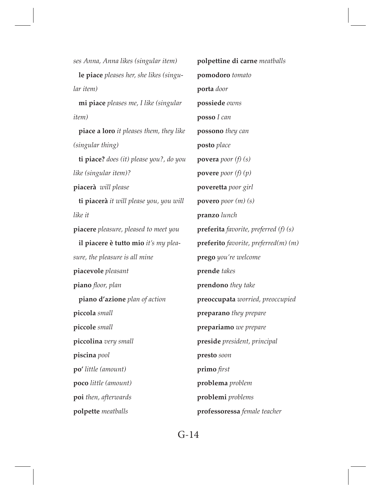*ses Anna, Anna likes (singular item)*  **le piace** *pleases her, she likes (singular item)*  **mi piace** *pleases me, I like (singular item)*  **piace a loro** *it pleases them, they like (singular thing)*  **ti piace?** *does (it) please you?, do you like (singular item)?* **piacerà** *will please*  **ti piacerà** *it will please you, you will like it* **piacere** *pleasure, pleased to meet you*  **il piacere è tutto mio** *it's my pleasure, the pleasure is all mine* **piacevole** *pleasant* **piano** *foor, plan*  **piano d'azione** *plan of action* **piccola** *small*  **piccole** *small* **piccolina** *very small*  **piscina** *pool* **po'** *little (amount)* **poco** *little (amount)* **poi** *then, afterwards* **polpette** *meatballs* **polpettine di carne** *meatballs* **pomodoro** *tomato* **porta** *door* **possiede** *owns* **posso** *I can* **possono** *they can* **posto** *place* **povera** *poor (f) (s)* **povere** *poor (f) (p)* **poveretta** *poor girl*  **povero** *poor (m) (s)* **pranzo** *lunch* **preferita** *favorite, preferred (f) (s)* **preferito** *favorite, preferred(m) (m)*  **prego** *you're welcome* **prende** *takes* **prendono** *they take* **preoccupata** *worried, preoccupied* **preparano** *they prepare* **prepariamo** *we prepare* **preside** *president, principal* **presto** *soon* **primo** *frst* **problema** *problem* **problemi** *problems* **professoressa** *female teacher*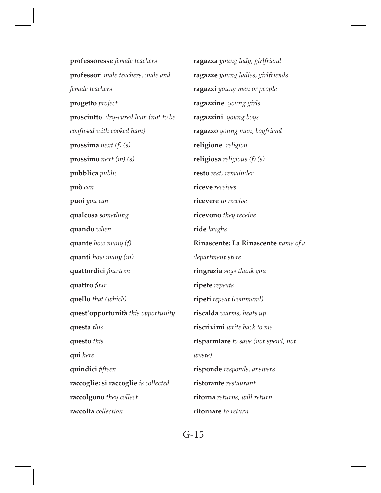**professoresse** *female teachers* **professori** *male teachers, male and female teachers* **progetto** *project* **prosciutto** *dry-cured ham (not to be confused with cooked ham)* **prossima** *next (f) (s)* **prossimo** *next (m) (s)* **pubblica** *public* **può** *can* **puoi** *you can* **qualcosa** *something* **quando** *when* **quante** *how many (f)* **quanti** *how many (m)* **quattordici** *fourteen* **quattro** *four* **quello** *that (which)* **quest'opportunità** *this opportunity* **questa** *this* **questo** *this* **qui** *here* **quindici** *ffteen* **raccoglie: si raccoglie** *is collected* **raccolgono** *they collect* **raccolta** *collection* **ragazza** *young lady, girlfriend* **ragazze** *young ladies, girlfriends* **ragazzi** *young men or people* **ragazzine** *young girls* **ragazzini** *young boys*  **ragazzo** *young man, boyfriend* **religione** *religion* **religiosa** *religious (f) (s)* **resto** *rest, remainder* **riceve** *receives* **ricevere** *to receive* **ricevono** *they receive* **ride** *laughs* **Rinascente: La Rinascente** *name of a department store* **ringrazia** *says thank you* **ripete** *repeats* **ripeti** *repeat (command)* **riscalda** *warms, heats up* **riscrivimi** *write back to me* **risparmiare** *to save (not spend, not waste)* **risponde** *responds, answers* **ristorante** *restaurant* **ritorna** *returns, will return* **ritornare** *to return*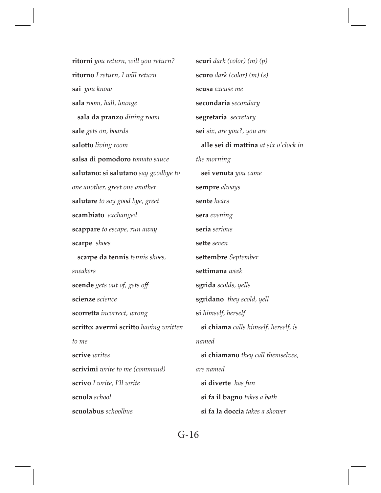**ritorni** *you return, will you return?* **ritorno** *I return, I will return* **sai** *you know* **sala** *room, hall, lounge*  **sala da pranzo** *dining room* **sale** *gets on, boards* **salotto** *living room* **salsa di pomodoro** *tomato sauce* **salutano: si salutano** *say goodbye to one another, greet one another* **salutare** *to say good bye, greet* **scambiato** *exchanged* **scappare** *to escape, run away* **scarpe** *shoes*  **scarpe da tennis** *tennis shoes, sneakers* **scende** *gets out of, gets of* **scienze** *science* **scorretta** *incorrect, wrong*  **scritto: avermi scritto** *having written to me* **scrive** *writes* **scrivimi** *write to me (command)* **scrivo** *I write, I'll write* **scuola** *school* **scuolabus** *schoolbus* **scuri** *dark (color) (m) (p)* **scuro** *dark (color) (m) (s)* **scusa** *excuse me* **secondaria** *secondary* **segretaria** *secretary* **sei** *six, are you?, you are* **alle sei di mattina** *at six o'clock in the morning*  **sei venuta** *you came* **sempre** *always* **sente** *hears* **sera** *evening* **seria** *serious* **sette** *seven* **settembre** *September* **settimana** *week* **sgrida** *scolds, yells* **sgridano** *they scold, yell* **si** *himself, herself*  **si chiama** *calls himself, herself, is named*  **si chiamano** *they call themselves, are named*  **si diverte** *has fun*  **si fa il bagno** *takes a bath*  **si fa la doccia** *takes a shower*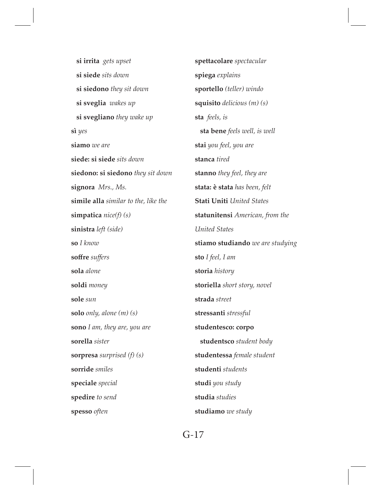**si irrita** *gets upset*  **si siede** *sits down*  **si siedono** *they sit down*  **si sveglia** *wakes up*  **si svegliano** *they wake up* **sì** *yes* **siamo** *we are* **siede: si siede** *sits down* **siedono: si siedono** *they sit down* **signora** *Mrs., Ms.*  **simile alla** *similar to the, like the* **simpatica** *nice(f) (s)* **sinistra** *left (side)*  **so** *I know* **sofre** *sufers* **sola** *alone* **soldi** *money* **sole** *sun* **solo** *only, alone (m) (s)* **sono** *I am, they are, you are* **sorella** *sister* **sorpresa** *surprised (f) (s)* **sorride** *smiles* **speciale** *special* **spedire** *to send* **spesso** *often*

**spettacolare** *spectacular* **spiega** *explains* **sportello** *(teller) windo* **squisito** *delicious (m) (s)* **sta** *feels, is*  **sta bene** *feels well, is well* **stai** *you feel, you are* **stanca** *tired* **stanno** *they feel, they are* **stata: è stata** *has been, felt* **Stati Uniti** *United States* **statunitensi** *American, from the United States* **stiamo studiando** *we are studying* **sto** *I feel, I am* **storia** *history* **storiella** *short story, novel* **strada** *street* **stressanti** *stressful* **studentesco: corpo studentsco** *student body* **studentessa** *female student* **studenti** *students* **studi** *you study* **studia** *studies* **studiamo** *we study*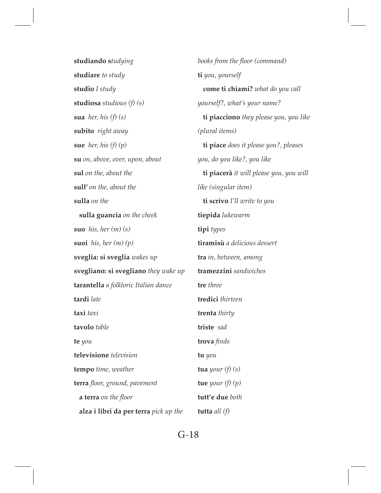**studiando s***tudying* **studiare** *to study* **studio** *I study* **studiosa** *studious (f) (s)* **sua** *her, his (f) (s)* **subito** *right away* **sue** *her, his (f) (p)* **su** *on, above, over, upon, about* **sul** *on the, about the* **sull'** *on the, about the* **sulla** *on the*  **sulla guancia** *on the cheek* **suo** *his, her (m) (s)* **suoi** *his, her (m) (p)* **sveglia: si sveglia** *wakes up* **svegliano: si svegliano** *they wake up* **tarantella** *a folkloric Italian dance* **tardi** *late* **taxi** *taxi* **tavolo** *table* **te** *you* **televisione** *television* **tempo** *time, weather* **terra** *foor, ground, pavement*  **a terra** *on the foor*  **alza i libri da per terra** *pick up the*  **tutta** *all (f)* 

*books from the floor (command)* **ti** *you, yourself*  **come ti chiami?** *what do you call yourself?, what's your name?*  **ti piacciono** *they please you, you like (plural items)*  **ti piace** *does it please you?, pleases you, do you like?, you like*  **ti piacerà** *it will please you, you will like (singular item)*  **ti scrivo** *I'll write to you* **tiepida** *lukewarm* **tipi** *types* **tiramisù** *a delicious dessert* **tra** *in, between, among* **tramezzini** *sandwiches* **tre** *three* **tredici** *thirteen* **trenta** *thirty* **triste** *sad* **trova** *fnds* **tu** *you* **tua** *your (f) (s)* **tue** *your (f) (p)* **tutt'e due** *both*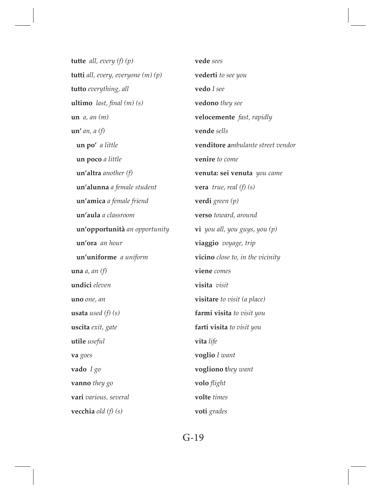**tutte** *all, every (f) (p)* **tutti** *all, every, everyone (m) (p)* **tutto** *everything, all* **ultimo** *last, fnal (m) (s)* **un** *a, an (m)* **un'** *an, a (f)*   **un po'** *a little*  **un poco** *a little*  **un'altra** *another (f)*  **un'alunna** *a female student*  **un'amica** *a female friend*   **un'aula** *a classroom*  **un'opportunità** *an opportunity*  **un'ora** *an hour*  **un'uniforme** *a uniform* **una** *a, an (f)* **undici** *eleven* **uno** *one, an* **usata** *used (f) (s)* **uscita** *exit, gate* **utile** *useful* **va** *goes* **vado** *I go* **vanno** *they go* **vari** *various, several* **vecchia** *old (f) (s)*

**vede** *sees* **vederti** *to see you* **vedo** *I see* **vedono** *they see* **velocemente** *fast, rapidly* **vende** *sells* **venditore a***mbulante street vendor* **venire** *to come* **venuta: sei venuta** *you came* **vera** *true, real (f) (s)* **verdi** *green (p)* **verso** *toward, around* **vi** *you all, you guys, you (p)* **viaggio** *voyage, trip* **vicino** *close to, in the vicinity* **viene** *comes* **visita** *visit* **visitare** *to visit (a place)* **farmi visita** *to visit you* **farti visita** *to visit you* **vita** *life* **voglio** *I want* **vogliono t***hey want* **volo** *fight* **volte** *times* **voti** *grades*